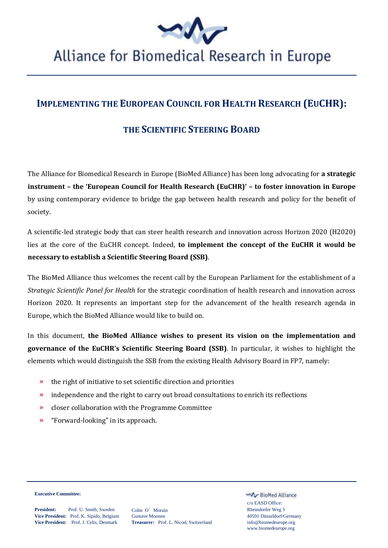

# Alliance for Biomedical Research in Europe

## **IMPLEMENTING THE EUROPEAN COUNCIL FOR HEALTH RESEARCH (EUCHR):**

### **THE SCIENTIFIC STEERING BOARD**

The Alliance for Biomedical Research in Europe (BioMed Alliance) has been long advocating for **a strategic instrument – the 'European Council for Health Research (EuCHR)' – to foster innovation in Europe** by using contemporary evidence to bridge the gap between health research and policy for the benefit of society.

A scientific-led strategic body that can steer health research and innovation across Horizon 2020 (H2020) lies at the core of the EuCHR concept. Indeed, **to implement the concept of the EuCHR it would be necessary to establish a Scientific Steering Board (SSB)**.

The BioMed Alliance thus welcomes the recent call by the European Parliament for the establishment of a *Strategic Scientific Panel for Health* for the strategic coordination of health research and innovation across Horizon 2020. It represents an important step for the advancement of the health research agenda in Europe, which the BioMed Alliance would like to build on.

In this document, **the BioMed Alliance wishes to present its vision on the implementation and governance of the EuCHR's Scientific Steering Board (SSB)**. In particular, it wishes to highlight the elements which would distinguish the SSB from the existing Health Advisory Board in FP7, namely:

- » the right of initiative to set scientific direction and priorities
- » independence and the right to carry out broad consultations to enrich its reflections
- » closer collaboration with the Programme Committee
- » "Forward-looking" in its approach.

**Executive Committee:**

**President:** Prof. U. Smith, Sweden Colm O'Morain Rheindorfer Weg 3<br> **Vice President:** Prof. K. Sipido, Belgium Gustave Moonen 40591 Düsseldorf-Germany

My BioMed Alliance c/o EASD Office: www.biomedeurope.org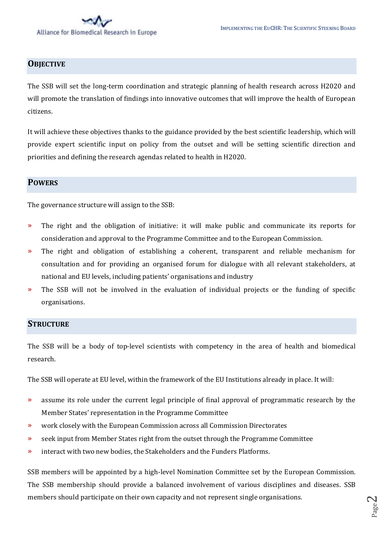#### **OBJECTIVE**

The SSB will set the long-term coordination and strategic planning of health research across H2020 and will promote the translation of findings into innovative outcomes that will improve the health of European citizens.

It will achieve these objectives thanks to the guidance provided by the best scientific leadership, which will provide expert scientific input on policy from the outset and will be setting scientific direction and priorities and defining the research agendas related to health in H2020.

#### **POWERS**

The governance structure will assign to the SSB:

- » The right and the obligation of initiative: it will make public and communicate its reports for consideration and approval to the Programme Committee and to the European Commission.
- » The right and obligation of establishing a coherent, transparent and reliable mechanism for consultation and for providing an organised forum for dialogue with all relevant stakeholders, at national and EU levels, including patients' organisations and industry
- » The SSB will not be involved in the evaluation of individual projects or the funding of specific organisations.

#### **STRUCTURE**

The SSB will be a body of top-level scientists with competency in the area of health and biomedical research.

The SSB will operate at EU level, within the framework of the EU Institutions already in place. It will:

- » assume its role under the current legal principle of final approval of programmatic research by the Member States' representation in the Programme Committee
- » work closely with the European Commission across all Commission Directorates
- » seek input from Member States right from the outset through the Programme Committee
- » interact with two new bodies, the Stakeholders and the Funders Platforms.

SSB members will be appointed by a high-level Nomination Committee set by the European Commission. The SSB membership should provide a balanced involvement of various disciplines and diseases. SSB members should participate on their own capacity and not represent single organisations.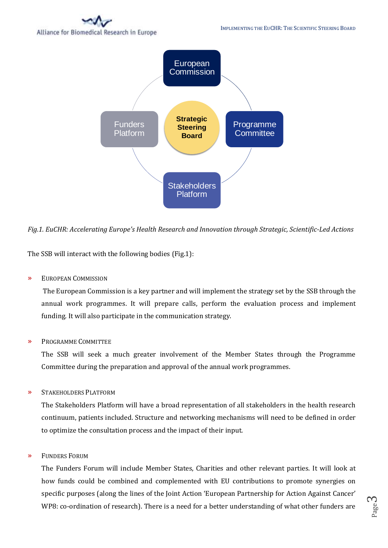# Alliance for Biomedical Research in Europe



*Fig.1. EuCHR: Accelerating Europe's Health Research and Innovation through Strategic, Scientific-Led Actions* 

The SSB will interact with the following bodies (Fig.1):

» EUROPEAN COMMISSION

The European Commission is a key partner and will implement the strategy set by the SSB through the annual work programmes. It will prepare calls, perform the evaluation process and implement funding. It will also participate in the communication strategy.

» PROGRAMME COMMITTEE

The SSB will seek a much greater involvement of the Member States through the Programme Committee during the preparation and approval of the annual work programmes.

» STAKEHOLDERS PLATFORM

The Stakeholders Platform will have a broad representation of all stakeholders in the health research continuum, patients included. Structure and networking mechanisms will need to be defined in order to optimize the consultation process and the impact of their input.

» FUNDERS FORUM

The Funders Forum will include Member States, Charities and other relevant parties. It will look at how funds could be combined and complemented with EU contributions to promote synergies on specific purposes (along the lines of the Joint Action 'European Partnership for Action Against Cancer'